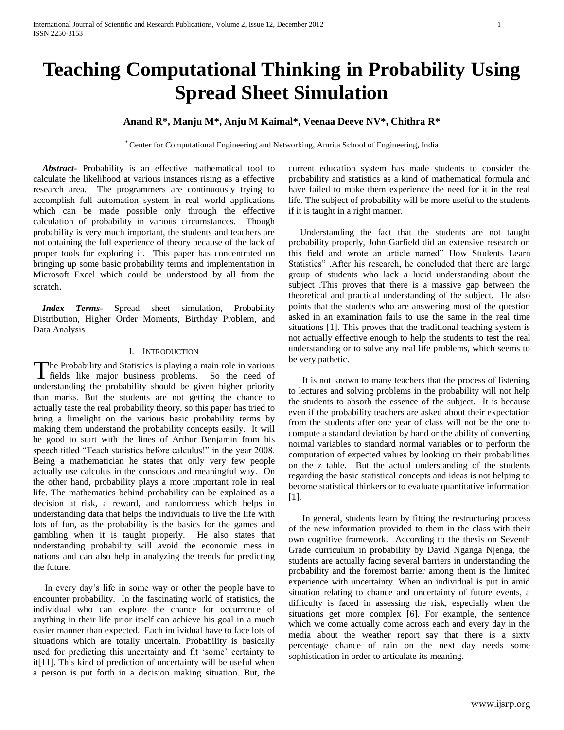# **Teaching Computational Thinking in Probability Using Spread Sheet Simulation**

# **Anand R\*, Manju M\*, Anju M Kaimal\*, Veenaa Deeve NV\*, Chithra R\***

\* Center for Computational Engineering and Networking, Amrita School of Engineering, India

 *Abstract***-** Probability is an effective mathematical tool to calculate the likelihood at various instances rising as a effective research area. The programmers are continuously trying to accomplish full automation system in real world applications which can be made possible only through the effective calculation of probability in various circumstances. Though probability is very much important, the students and teachers are not obtaining the full experience of theory because of the lack of proper tools for exploring it. This paper has concentrated on bringing up some basic probability terms and implementation in Microsoft Excel which could be understood by all from the scratch.

 *Index Terms*- Spread sheet simulation, Probability Distribution, Higher Order Moments, Birthday Problem, and Data Analysis

## I. INTRODUCTION

he Probability and Statistics is playing a main role in various The Probability and Statistics is playing a main role in various<br>fields like major business problems. So the need of understanding the probability should be given higher priority than marks. But the students are not getting the chance to actually taste the real probability theory, so this paper has tried to bring a limelight on the various basic probability terms by making them understand the probability concepts easily. It will be good to start with the lines of Arthur Benjamin from his speech titled "Teach statistics before calculus!" in the year 2008. Being a mathematician he states that only very few people actually use calculus in the conscious and meaningful way. On the other hand, probability plays a more important role in real life. The mathematics behind probability can be explained as a decision at risk, a reward, and randomness which helps in understanding data that helps the individuals to live the life with lots of fun, as the probability is the basics for the games and gambling when it is taught properly. He also states that understanding probability will avoid the economic mess in nations and can also help in analyzing the trends for predicting the future.

 In every day's life in some way or other the people have to encounter probability. In the fascinating world of statistics, the individual who can explore the chance for occurrence of anything in their life prior itself can achieve his goal in a much easier manner than expected. Each individual have to face lots of situations which are totally uncertain. Probability is basically used for predicting this uncertainty and fit 'some' certainty to it[11]. This kind of prediction of uncertainty will be useful when a person is put forth in a decision making situation. But, the

current education system has made students to consider the probability and statistics as a kind of mathematical formula and have failed to make them experience the need for it in the real life. The subject of probability will be more useful to the students if it is taught in a right manner.

 Understanding the fact that the students are not taught probability properly, John Garfield did an extensive research on this field and wrote an article named" How Students Learn Statistics" .After his research, he concluded that there are large group of students who lack a lucid understanding about the subject .This proves that there is a massive gap between the theoretical and practical understanding of the subject. He also points that the students who are answering most of the question asked in an examination fails to use the same in the real time situations [1]. This proves that the traditional teaching system is not actually effective enough to help the students to test the real understanding or to solve any real life problems, which seems to be very pathetic.

 It is not known to many teachers that the process of listening to lectures and solving problems in the probability will not help the students to absorb the essence of the subject. It is because even if the probability teachers are asked about their expectation from the students after one year of class will not be the one to compute a standard deviation by hand or the ability of converting normal variables to standard normal variables or to perform the computation of expected values by looking up their probabilities on the z table. But the actual understanding of the students regarding the basic statistical concepts and ideas is not helping to become statistical thinkers or to evaluate quantitative information [1].

 In general, students learn by fitting the restructuring process of the new information provided to them in the class with their own cognitive framework. According to the thesis on Seventh Grade curriculum in probability by David Nganga Njenga, the students are actually facing several barriers in understanding the probability and the foremost barrier among them is the limited experience with uncertainty. When an individual is put in amid situation relating to chance and uncertainty of future events, a difficulty is faced in assessing the risk, especially when the situations get more complex [6]. For example, the sentence which we come actually come across each and every day in the media about the weather report say that there is a sixty percentage chance of rain on the next day needs some sophistication in order to articulate its meaning.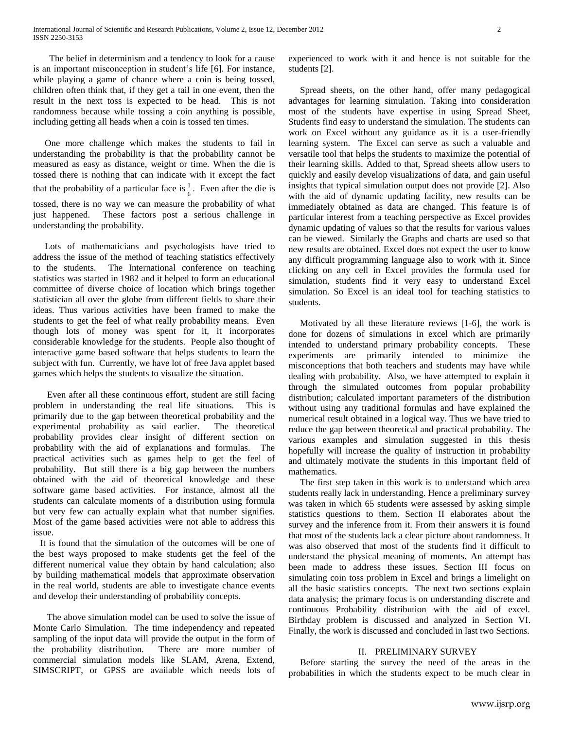The belief in determinism and a tendency to look for a cause is an important misconception in student's life [6]. For instance, while playing a game of chance where a coin is being tossed, children often think that, if they get a tail in one event, then the result in the next toss is expected to be head. This is not randomness because while tossing a coin anything is possible, including getting all heads when a coin is tossed ten times.

 One more challenge which makes the students to fail in understanding the probability is that the probability cannot be measured as easy as distance, weight or time. When the die is tossed there is nothing that can indicate with it except the fact that the probability of a particular face is  $\frac{1}{2}$  $\frac{1}{6}$ . Even after the die is tossed, there is no way we can measure the probability of what just happened. These factors post a serious challenge in understanding the probability.

 Lots of mathematicians and psychologists have tried to address the issue of the method of teaching statistics effectively to the students. The International conference on teaching statistics was started in 1982 and it helped to form an educational committee of diverse choice of location which brings together statistician all over the globe from different fields to share their ideas. Thus various activities have been framed to make the students to get the feel of what really probability means. Even though lots of money was spent for it, it incorporates considerable knowledge for the students. People also thought of interactive game based software that helps students to learn the subject with fun. Currently, we have lot of free Java applet based games which helps the students to visualize the situation.

 Even after all these continuous effort, student are still facing problem in understanding the real life situations. This is primarily due to the gap between theoretical probability and the experimental probability as said earlier. The theoretical probability provides clear insight of different section on probability with the aid of explanations and formulas. The practical activities such as games help to get the feel of probability. But still there is a big gap between the numbers obtained with the aid of theoretical knowledge and these software game based activities. For instance, almost all the students can calculate moments of a distribution using formula but very few can actually explain what that number signifies. Most of the game based activities were not able to address this issue.

 It is found that the simulation of the outcomes will be one of the best ways proposed to make students get the feel of the different numerical value they obtain by hand calculation; also by building mathematical models that approximate observation in the real world, students are able to investigate chance events and develop their understanding of probability concepts.

 The above simulation model can be used to solve the issue of Monte Carlo Simulation. The time independency and repeated sampling of the input data will provide the output in the form of the probability distribution. There are more number of commercial simulation models like SLAM, Arena, Extend, SIMSCRIPT, or GPSS are available which needs lots of experienced to work with it and hence is not suitable for the students [2].

 Spread sheets, on the other hand, offer many pedagogical advantages for learning simulation. Taking into consideration most of the students have expertise in using Spread Sheet, Students find easy to understand the simulation. The students can work on Excel without any guidance as it is a user-friendly learning system. The Excel can serve as such a valuable and versatile tool that helps the students to maximize the potential of their learning skills. Added to that, Spread sheets allow users to quickly and easily develop visualizations of data, and gain useful insights that typical simulation output does not provide [2]. Also with the aid of dynamic updating facility, new results can be immediately obtained as data are changed. This feature is of particular interest from a teaching perspective as Excel provides dynamic updating of values so that the results for various values can be viewed. Similarly the Graphs and charts are used so that new results are obtained. Excel does not expect the user to know any difficult programming language also to work with it. Since clicking on any cell in Excel provides the formula used for simulation, students find it very easy to understand Excel simulation. So Excel is an ideal tool for teaching statistics to students.

 Motivated by all these literature reviews [1-6], the work is done for dozens of simulations in excel which are primarily intended to understand primary probability concepts. These experiments are primarily intended to minimize the misconceptions that both teachers and students may have while dealing with probability. Also, we have attempted to explain it through the simulated outcomes from popular probability distribution; calculated important parameters of the distribution without using any traditional formulas and have explained the numerical result obtained in a logical way. Thus we have tried to reduce the gap between theoretical and practical probability. The various examples and simulation suggested in this thesis hopefully will increase the quality of instruction in probability and ultimately motivate the students in this important field of mathematics.

 The first step taken in this work is to understand which area students really lack in understanding. Hence a preliminary survey was taken in which 65 students were assessed by asking simple statistics questions to them. Section II elaborates about the survey and the inference from it. From their answers it is found that most of the students lack a clear picture about randomness. It was also observed that most of the students find it difficult to understand the physical meaning of moments. An attempt has been made to address these issues. Section III focus on simulating coin toss problem in Excel and brings a limelight on all the basic statistics concepts. The next two sections explain data analysis; the primary focus is on understanding discrete and continuous Probability distribution with the aid of excel. Birthday problem is discussed and analyzed in Section VI. Finally, the work is discussed and concluded in last two Sections.

## II. PRELIMINARY SURVEY

 Before starting the survey the need of the areas in the probabilities in which the students expect to be much clear in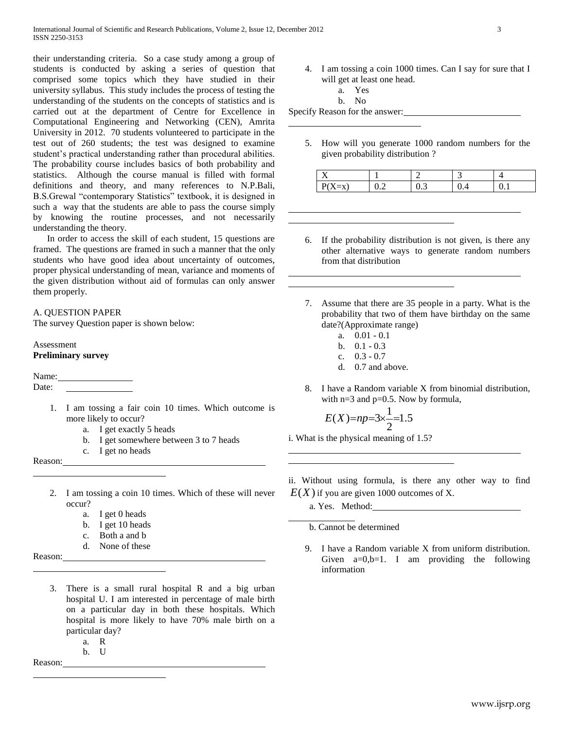their understanding criteria. So a case study among a group of students is conducted by asking a series of question that comprised some topics which they have studied in their university syllabus. This study includes the process of testing the understanding of the students on the concepts of statistics and is carried out at the department of Centre for Excellence in Computational Engineering and Networking (CEN), Amrita University in 2012. 70 students volunteered to participate in the test out of 260 students; the test was designed to examine student's practical understanding rather than procedural abilities. The probability course includes basics of both probability and statistics. Although the course manual is filled with formal definitions and theory, and many references to N.P.Bali, B.S.Grewal "contemporary Statistics" textbook, it is designed in such a way that the students are able to pass the course simply by knowing the routine processes, and not necessarily understanding the theory.

 In order to access the skill of each student, 15 questions are framed. The questions are framed in such a manner that the only students who have good idea about uncertainty of outcomes, proper physical understanding of mean, variance and moments of the given distribution without aid of formulas can only answer them properly.

## A. QUESTION PAPER

The survey Question paper is shown below:

Assessment **Preliminary survey**

Name:

Date:

- 1. I am tossing a fair coin 10 times. Which outcome is more likely to occur?
	- a. I get exactly 5 heads
	- b. I get somewhere between 3 to 7 heads
	- c. I get no heads

Reason:

- 2. I am tossing a coin 10 times. Which of these will never occur?
	- a. I get 0 heads
	- b. I get 10 heads
	- c. Both a and b
	- d. None of these

Reason:

- 3. There is a small rural hospital R and a big urban hospital U. I am interested in percentage of male birth on a particular day in both these hospitals. Which hospital is more likely to have 70% male birth on a particular day?
	- a. R b. U

Reason:

4. I am tossing a coin 1000 times. Can I say for sure that I will get at least one head.

a. Yes

b. No

Specify Reason for the answer:

5. How will you generate 1000 random numbers for the given probability distribution ?

| . . | $\ddotsc$ |  |  |
|-----|-----------|--|--|

- 6. If the probability distribution is not given, is there any other alternative ways to generate random numbers from that distribution
- 7. Assume that there are 35 people in a party. What is the probability that two of them have birthday on the same date?(Approximate range)
	- a. 0.01 0.1
	- b.  $0.1 0.3$
	- c. 0.3 0.7
	- d. 0.7 and above.
- 8. I have a Random variable X from binomial distribution, with  $n=3$  and  $p=0.5$ . Now by formula,

$$
E(X)=np=3\times\frac{1}{2}=1.5
$$

i. What is the physical meaning of 1.5?

ii. Without using formula, is there any other way to find  $E(X)$  if you are given 1000 outcomes of X.

a. Yes. Method:

b. Cannot be determined

9. I have a Random variable X from uniform distribution. Given  $a=0,b=1$ . I am providing the following information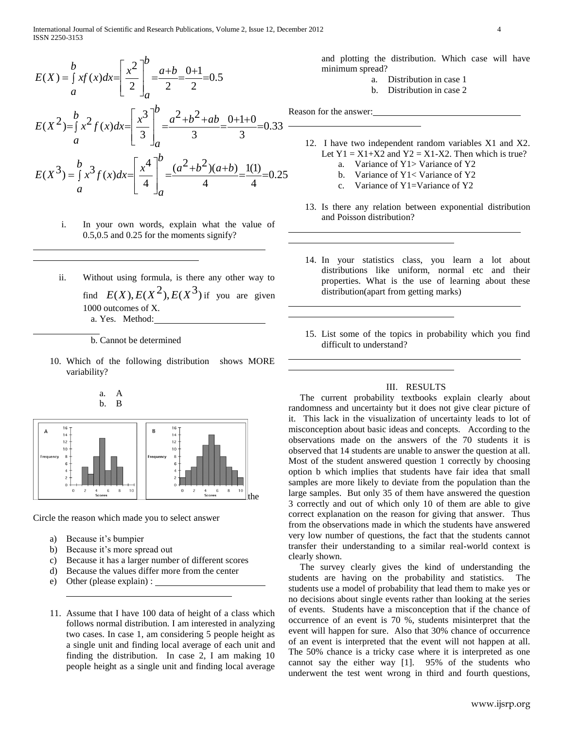$$
E(X) = \int_{a}^{b} xf(x)dx = \left[\frac{x^{2}}{2}\right]_{a}^{b} = \frac{a+b}{2} = \frac{0+1}{2} = 0.5
$$
  
\n
$$
E(X^{2}) = \int_{a}^{b} x^{2} f(x)dx = \left[\frac{x^{3}}{3}\right]_{a}^{b} = \frac{a^{2}+b^{2}+ab}{3} = \frac{0+1+0}{3} = 0.33
$$
  
\n
$$
E(X^{3}) = \int_{a}^{b} x^{3} f(x)dx = \left[\frac{x^{4}}{4}\right]_{a}^{b} = \frac{(a^{2}+b^{2})(a+b)}{4} = \frac{1(1)}{4} = 0.25
$$

*b*

- i. In your own words, explain what the value of 0.5,0.5 and 0.25 for the moments signify?
- ii. Without using formula, is there any other way to find  $E(X)$ ,  $E(X^2)$ ,  $E(X^3)$  if you are given 1000 outcomes of X. a. Yes. Method:

b. Cannot be determined

10. Which of the following distribution shows MORE variability?





Circle the reason which made you to select answer

- a) Because it's bumpier
- b) Because it's more spread out
- c) Because it has a larger number of different scores
- d) Because the values differ more from the center
- e) Other (please explain) :
- 11. Assume that I have 100 data of height of a class which follows normal distribution. I am interested in analyzing two cases. In case 1, am considering 5 people height as a single unit and finding local average of each unit and finding the distribution. In case 2, I am making 10 people height as a single unit and finding local average

and plotting the distribution. Which case will have minimum spread?

- a. Distribution in case 1
- b. Distribution in case 2

Reason for the answer:

- 12. I have two independent random variables X1 and X2. Let  $Y1 = X1+X2$  and  $Y2 = X1-X2$ . Then which is true?
	- a. Variance of Y1> Variance of Y2
	- b. Variance of Y1< Variance of Y2
	- c. Variance of Y1=Variance of Y2
- 13. Is there any relation between exponential distribution and Poisson distribution?
- 14. In your statistics class, you learn a lot about distributions like uniform, normal etc and their properties. What is the use of learning about these distribution(apart from getting marks)
- 15. List some of the topics in probability which you find difficult to understand?

## III. RESULTS

 The current probability textbooks explain clearly about randomness and uncertainty but it does not give clear picture of it. This lack in the visualization of uncertainty leads to lot of misconception about basic ideas and concepts. According to the observations made on the answers of the 70 students it is observed that 14 students are unable to answer the question at all. Most of the student answered question 1 correctly by choosing option b which implies that students have fair idea that small samples are more likely to deviate from the population than the large samples. But only 35 of them have answered the question 3 correctly and out of which only 10 of them are able to give correct explanation on the reason for giving that answer. Thus from the observations made in which the students have answered very low number of questions, the fact that the students cannot transfer their understanding to a similar real-world context is clearly shown.

 The survey clearly gives the kind of understanding the students are having on the probability and statistics. The students use a model of probability that lead them to make yes or no decisions about single events rather than looking at the series of events. Students have a misconception that if the chance of occurrence of an event is 70 %, students misinterpret that the event will happen for sure. Also that 30% chance of occurrence of an event is interpreted that the event will not happen at all. The 50% chance is a tricky case where it is interpreted as one cannot say the either way [1]. 95% of the students who underwent the test went wrong in third and fourth questions,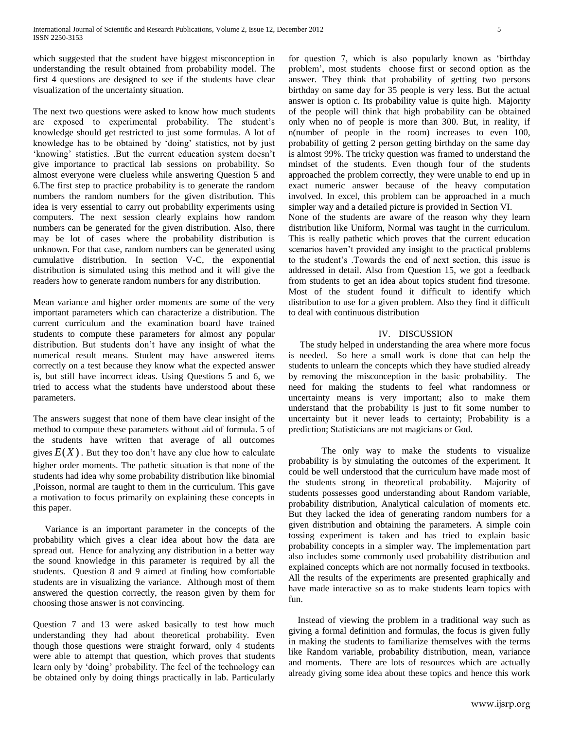which suggested that the student have biggest misconception in understanding the result obtained from probability model. The first 4 questions are designed to see if the students have clear visualization of the uncertainty situation.

The next two questions were asked to know how much students are exposed to experimental probability. The student's knowledge should get restricted to just some formulas. A lot of knowledge has to be obtained by 'doing' statistics, not by just 'knowing' statistics. .But the current education system doesn't give importance to practical lab sessions on probability. So almost everyone were clueless while answering Question 5 and 6.The first step to practice probability is to generate the random numbers the random numbers for the given distribution. This idea is very essential to carry out probability experiments using computers. The next session clearly explains how random numbers can be generated for the given distribution. Also, there may be lot of cases where the probability distribution is unknown. For that case, random numbers can be generated using cumulative distribution. In section V-C, the exponential distribution is simulated using this method and it will give the readers how to generate random numbers for any distribution.

Mean variance and higher order moments are some of the very important parameters which can characterize a distribution. The current curriculum and the examination board have trained students to compute these parameters for almost any popular distribution. But students don't have any insight of what the numerical result means. Student may have answered items correctly on a test because they know what the expected answer is, but still have incorrect ideas. Using Questions 5 and 6, we tried to access what the students have understood about these parameters.

The answers suggest that none of them have clear insight of the method to compute these parameters without aid of formula. 5 of the students have written that average of all outcomes gives  $E(X)$ . But they too don't have any clue how to calculate higher order moments. The pathetic situation is that none of the students had idea why some probability distribution like binomial ,Poisson, normal are taught to them in the curriculum. This gave a motivation to focus primarily on explaining these concepts in this paper.

 Variance is an important parameter in the concepts of the probability which gives a clear idea about how the data are spread out. Hence for analyzing any distribution in a better way the sound knowledge in this parameter is required by all the students. Question 8 and 9 aimed at finding how comfortable students are in visualizing the variance. Although most of them answered the question correctly, the reason given by them for choosing those answer is not convincing.

Question 7 and 13 were asked basically to test how much understanding they had about theoretical probability. Even though those questions were straight forward, only 4 students were able to attempt that question, which proves that students learn only by 'doing' probability. The feel of the technology can be obtained only by doing things practically in lab. Particularly

for question 7, which is also popularly known as 'birthday problem', most students choose first or second option as the answer. They think that probability of getting two persons birthday on same day for 35 people is very less. But the actual answer is option c. Its probability value is quite high. Majority of the people will think that high probability can be obtained only when no of people is more than 300. But, in reality, if n(number of people in the room) increases to even 100, probability of getting 2 person getting birthday on the same day is almost 99%. The tricky question was framed to understand the mindset of the students. Even though four of the students approached the problem correctly, they were unable to end up in exact numeric answer because of the heavy computation involved. In excel, this problem can be approached in a much simpler way and a detailed picture is provided in Section VI.

None of the students are aware of the reason why they learn distribution like Uniform, Normal was taught in the curriculum. This is really pathetic which proves that the current education scenarios haven't provided any insight to the practical problems to the student's .Towards the end of next section, this issue is addressed in detail. Also from Question 15, we got a feedback from students to get an idea about topics student find tiresome. Most of the student found it difficult to identify which distribution to use for a given problem. Also they find it difficult to deal with continuous distribution

## IV. DISCUSSION

 The study helped in understanding the area where more focus is needed. So here a small work is done that can help the students to unlearn the concepts which they have studied already by removing the misconception in the basic probability. The need for making the students to feel what randomness or uncertainty means is very important; also to make them understand that the probability is just to fit some number to uncertainty but it never leads to certainty; Probability is a prediction; Statisticians are not magicians or God.

The only way to make the students to visualize probability is by simulating the outcomes of the experiment. It could be well understood that the curriculum have made most of the students strong in theoretical probability. Majority of students possesses good understanding about Random variable, probability distribution, Analytical calculation of moments etc. But they lacked the idea of generating random numbers for a given distribution and obtaining the parameters. A simple coin tossing experiment is taken and has tried to explain basic probability concepts in a simpler way. The implementation part also includes some commonly used probability distribution and explained concepts which are not normally focused in textbooks. All the results of the experiments are presented graphically and have made interactive so as to make students learn topics with fun.

 Instead of viewing the problem in a traditional way such as giving a formal definition and formulas, the focus is given fully in making the students to familiarize themselves with the terms like Random variable, probability distribution, mean, variance and moments. There are lots of resources which are actually already giving some idea about these topics and hence this work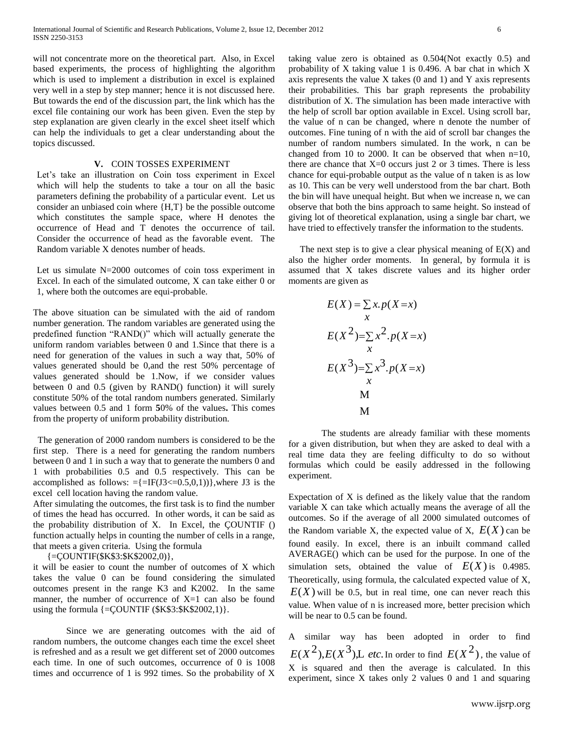will not concentrate more on the theoretical part. Also, in Excel based experiments, the process of highlighting the algorithm which is used to implement a distribution in excel is explained very well in a step by step manner; hence it is not discussed here. But towards the end of the discussion part, the link which has the excel file containing our work has been given. Even the step by step explanation are given clearly in the excel sheet itself which can help the individuals to get a clear understanding about the topics discussed.

# **V.** COIN TOSSES EXPERIMENT

Let's take an illustration on Coin toss experiment in Excel which will help the students to take a tour on all the basic parameters defining the probability of a particular event. Let us consider an unbiased coin where {H,T} be the possible outcome which constitutes the sample space, where H denotes the occurrence of Head and T denotes the occurrence of tail. Consider the occurrence of head as the favorable event. The Random variable X denotes number of heads.

Let us simulate N=2000 outcomes of coin toss experiment in Excel. In each of the simulated outcome, X can take either 0 or 1, where both the outcomes are equi-probable.

The above situation can be simulated with the aid of random number generation. The random variables are generated using the predefined function "RAND()" which will actually generate the uniform random variables between 0 and 1.Since that there is a need for generation of the values in such a way that, 50% of values generated should be 0,and the rest 50% percentage of values generated should be 1.Now, if we consider values between 0 and 0.5 (given by RAND() function) it will surely constitute 50% of the total random numbers generated. Similarly values between 0.5 and 1 form **5**0% of the values**.** This comes from the property of uniform probability distribution.

 The generation of 2000 random numbers is considered to be the first step. There is a need for generating the random numbers between 0 and 1 in such a way that to generate the numbers 0 and 1 with probabilities 0.5 and 0.5 respectively. This can be accomplished as follows:  $=\{=\text{IF}(\text{J3} \leq 0.5,0,1))\}$ , where J3 is the excel cell location having the random value.

After simulating the outcomes, the first task is to find the number of times the head has occurred. In other words, it can be said as the probability distribution of X. In Excel, the ÇOUNTIF () function actually helps in counting the number of cells in a range, that meets a given criteria. Using the formula

 $\{=\text{COUNTIF}(\$K$3: $K$2002,0)\},\$ 

it will be easier to count the number of outcomes of X which takes the value 0 can be found considering the simulated outcomes present in the range K3 and K2002. In the same manner, the number of occurrence of  $X=1$  can also be found using the formula  $\{=\text{COUNTIF } ($K$3: $K$2002,1)\}.$ 

Since we are generating outcomes with the aid of random numbers, the outcome changes each time the excel sheet is refreshed and as a result we get different set of 2000 outcomes each time. In one of such outcomes, occurrence of 0 is 1008 times and occurrence of 1 is 992 times. So the probability of X

taking value zero is obtained as 0.504(Not exactly 0.5) and probability of X taking value 1 is 0.496. A bar chat in which X axis represents the value  $X$  takes  $(0 \text{ and } 1)$  and  $Y$  axis represents their probabilities. This bar graph represents the probability distribution of X. The simulation has been made interactive with the help of scroll bar option available in Excel. Using scroll bar, the value of n can be changed, where n denote the number of outcomes. Fine tuning of n with the aid of scroll bar changes the number of random numbers simulated. In the work, n can be changed from 10 to 2000. It can be observed that when n=10, there are chance that  $X=0$  occurs just 2 or 3 times. There is less chance for equi-probable output as the value of n taken is as low as 10. This can be very well understood from the bar chart. Both the bin will have unequal height. But when we increase n, we can observe that both the bins approach to same height. So instead of giving lot of theoretical explanation, using a single bar chart, we have tried to effectively transfer the information to the students.

The next step is to give a clear physical meaning of  $E(X)$  and also the higher order moments. In general, by formula it is assumed that X takes discrete values and its higher order moments are given as

$$
E(X) = \sum_{x} x \cdot p(X=x)
$$
  
\n
$$
E(X^{2}) = \sum_{x} x^{2} \cdot p(X=x)
$$
  
\n
$$
E(X^{3}) = \sum_{x} x^{3} \cdot p(X=x)
$$
  
\nM  
\nM

The students are already familiar with these moments for a given distribution, but when they are asked to deal with a real time data they are feeling difficulty to do so without formulas which could be easily addressed in the following experiment.

Expectation of X is defined as the likely value that the random variable X can take which actually means the average of all the outcomes. So if the average of all 2000 simulated outcomes of the Random variable X, the expected value of X,  $E(X)$  can be found easily. In excel, there is an inbuilt command called AVERAGE() which can be used for the purpose. In one of the simulation sets, obtained the value of  $E(X)$  is 0.4985. Theoretically, using formula, the calculated expected value of X,  $E(X)$  will be 0.5, but in real time, one can never reach this value. When value of n is increased more, better precision which will be near to  $0.5$  can be found.

A similar way has been adopted in order to find  $E(X^2), E(X^3),$  *E etc*. In order to find  $E(X^2)$ , the value of X is squared and then the average is calculated. In this experiment, since X takes only 2 values 0 and 1 and squaring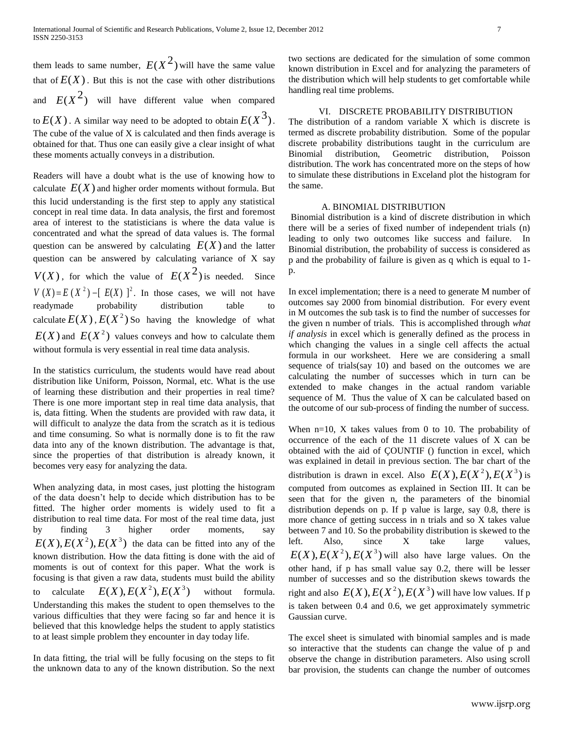them leads to same number,  $E(X^2)$  will have the same value that of  $E(X)$ . But this is not the case with other distributions and  $E(X^2)$  will have different value when compared to  $E(X)$ . A similar way need to be adopted to obtain  $E(X^3)$ . The cube of the value of X is calculated and then finds average is obtained for that. Thus one can easily give a clear insight of what these moments actually conveys in a distribution.

Readers will have a doubt what is the use of knowing how to calculate  $E(X)$  and higher order moments without formula. But this lucid understanding is the first step to apply any statistical concept in real time data. In data analysis, the first and foremost area of interest to the statisticians is where the data value is concentrated and what the spread of data values is. The formal question can be answered by calculating  $E(X)$  and the latter question can be answered by calculating variance of X say  $V(X)$ , for which the value of  $E(X^2)$  is needed. Since  $V(X) = E(X^2) - [E(X)]^2$ . In those cases, we will not have readymade probability distribution table to calculate  $E(X)$ ,  $E(X^2)$  So having the knowledge of what  $E(X)$  and  $E(X^2)$  values conveys and how to calculate them without formula is very essential in real time data analysis.

In the statistics curriculum, the students would have read about distribution like Uniform, Poisson, Normal, etc. What is the use of learning these distribution and their properties in real time? There is one more important step in real time data analysis, that is, data fitting. When the students are provided with raw data, it will difficult to analyze the data from the scratch as it is tedious and time consuming. So what is normally done is to fit the raw data into any of the known distribution. The advantage is that, since the properties of that distribution is already known, it becomes very easy for analyzing the data.

When analyzing data, in most cases, just plotting the histogram of the data doesn't help to decide which distribution has to be fitted. The higher order moments is widely used to fit a distribution to real time data. For most of the real time data, just by finding 3 higher order moments, say  $E(X), E(X^2), E(X^3)$  the data can be fitted into any of the known distribution. How the data fitting is done with the aid of moments is out of context for this paper. What the work is focusing is that given a raw data, students must build the ability to calculate  $E(X), E(X^2), E(X^3)$  without formula. Understanding this makes the student to open themselves to the various difficulties that they were facing so far and hence it is believed that this knowledge helps the student to apply statistics to at least simple problem they encounter in day today life.

In data fitting, the trial will be fully focusing on the steps to fit the unknown data to any of the known distribution. So the next

two sections are dedicated for the simulation of some common known distribution in Excel and for analyzing the parameters of the distribution which will help students to get comfortable while handling real time problems.

# VI. DISCRETE PROBABILITY DISTRIBUTION

The distribution of a random variable X which is discrete is termed as discrete probability distribution. Some of the popular discrete probability distributions taught in the curriculum are Binomial distribution, Geometric distribution, Poisson distribution. The work has concentrated more on the steps of how to simulate these distributions in Exceland plot the histogram for the same.

## A. BINOMIAL DISTRIBUTION

Binomial distribution is a kind of discrete distribution in which there will be a series of fixed number of independent trials (n) leading to only two outcomes like success and failure. In Binomial distribution, the probability of success is considered as p and the probability of failure is given as q which is equal to 1 p.

In excel implementation; there is a need to generate M number of outcomes say 2000 from binomial distribution. For every event in M outcomes the sub task is to find the number of successes for the given n number of trials. This is accomplished through *what if analysis* in excel which is generally defined as the process in which changing the values in a single cell affects the actual formula in our worksheet. Here we are considering a small sequence of trials(say 10) and based on the outcomes we are calculating the number of successes which in turn can be extended to make changes in the actual random variable sequence of M. Thus the value of X can be calculated based on the outcome of our sub-process of finding the number of success.

When  $n=10$ , X takes values from 0 to 10. The probability of occurrence of the each of the 11 discrete values of X can be obtained with the aid of ÇOUNTIF () function in excel, which was explained in detail in previous section. The bar chart of the distribution is drawn in excel. Also  $E(X)$ ,  $E(X^2)$ ,  $E(X^3)$  is computed from outcomes as explained in Section III. It can be seen that for the given n, the parameters of the binomial distribution depends on p. If p value is large, say 0.8, there is more chance of getting success in n trials and so X takes value between 7 and 10. So the probability distribution is skewed to the left. Also, since X take large values,  $E(X), E(X^2), E(X^3)$  will also have large values. On the other hand, if p has small value say 0.2, there will be lesser number of successes and so the distribution skews towards the right and also  $E(X)$ ,  $E(X^2)$ ,  $E(X^3)$  will have low values. If p is taken between 0.4 and 0.6, we get approximately symmetric Gaussian curve.

The excel sheet is simulated with binomial samples and is made so interactive that the students can change the value of p and observe the change in distribution parameters. Also using scroll bar provision, the students can change the number of outcomes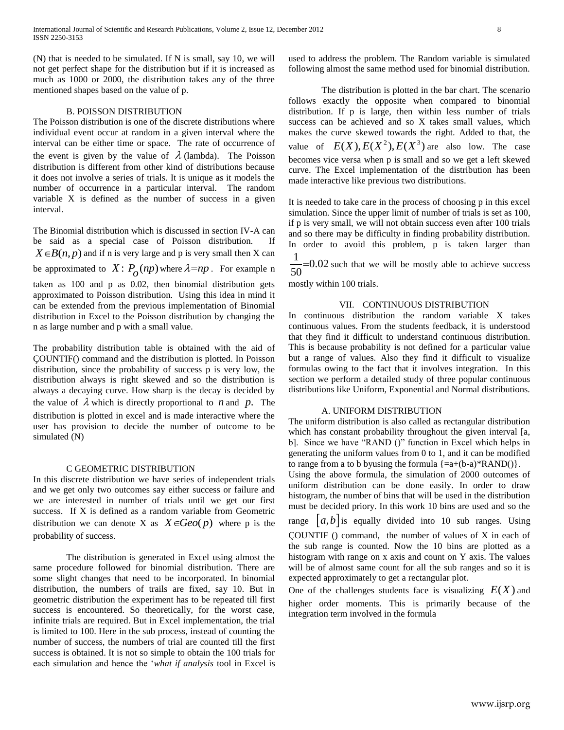(N) that is needed to be simulated. If N is small, say 10, we will not get perfect shape for the distribution but if it is increased as much as 1000 or 2000, the distribution takes any of the three mentioned shapes based on the value of p.

## B. POISSON DISTRIBUTION

The Poisson distribution is one of the discrete distributions where individual event occur at random in a given interval where the interval can be either time or space. The rate of occurrence of the event is given by the value of  $\lambda$  (lambda). The Poisson distribution is different from other kind of distributions because it does not involve a series of trials. It is unique as it models the number of occurrence in a particular interval. The random variable X is defined as the number of success in a given interval.

The Binomial distribution which is discussed in section IV-A can be said as a special case of Poisson distribution. If  $X \in B(n, p)$  and if n is very large and p is very small then X can be approximated to  $X: P_o(np)$  where  $\lambda = np$ . For example n taken as 100 and p as 0.02, then binomial distribution gets approximated to Poisson distribution. Using this idea in mind it can be extended from the previous implementation of Binomial distribution in Excel to the Poisson distribution by changing the n as large number and p with a small value.

The probability distribution table is obtained with the aid of ÇOUNTIF() command and the distribution is plotted. In Poisson distribution, since the probability of success p is very low, the distribution always is right skewed and so the distribution is always a decaying curve. How sharp is the decay is decided by the value of  $\lambda$  which is directly proportional to *n* and *p*. The distribution is plotted in excel and is made interactive where the user has provision to decide the number of outcome to be simulated (N)

### C GEOMETRIC DISTRIBUTION

In this discrete distribution we have series of independent trials and we get only two outcomes say either success or failure and we are interested in number of trials until we get our first success. If X is defined as a random variable from Geometric distribution we can denote X as  $X \in \text{Geo}(p)$  where p is the probability of success.

The distribution is generated in Excel using almost the same procedure followed for binomial distribution. There are some slight changes that need to be incorporated. In binomial distribution, the numbers of trails are fixed, say 10. But in geometric distribution the experiment has to be repeated till first success is encountered. So theoretically, for the worst case, infinite trials are required. But in Excel implementation, the trial is limited to 100. Here in the sub process, instead of counting the number of success, the numbers of trial are counted till the first success is obtained. It is not so simple to obtain the 100 trials for each simulation and hence the '*what if analysis* tool in Excel is used to address the problem. The Random variable is simulated following almost the same method used for binomial distribution.

The distribution is plotted in the bar chart. The scenario follows exactly the opposite when compared to binomial distribution. If p is large, then within less number of trials success can be achieved and so X takes small values, which makes the curve skewed towards the right. Added to that, the value of  $E(X)$ ,  $E(X^2)$ ,  $E(X^3)$  are also low. The case becomes vice versa when p is small and so we get a left skewed curve. The Excel implementation of the distribution has been made interactive like previous two distributions.

It is needed to take care in the process of choosing p in this excel simulation. Since the upper limit of number of trials is set as 100, if p is very small, we will not obtain success even after 100 trials and so there may be difficulty in finding probability distribution. In order to avoid this problem, p is taken larger than 1

 $=0.02$  such that we will be mostly able to achieve success 50

mostly within 100 trials.

# VII. CONTINUOUS DISTRIBUTION

In continuous distribution the random variable X takes continuous values. From the students feedback, it is understood that they find it difficult to understand continuous distribution. This is because probability is not defined for a particular value but a range of values. Also they find it difficult to visualize formulas owing to the fact that it involves integration. In this section we perform a detailed study of three popular continuous distributions like Uniform, Exponential and Normal distributions.

### A. UNIFORM DISTRIBUTION

The uniform distribution is also called as rectangular distribution which has constant probability throughout the given interval [a, b]. Since we have "RAND ()" function in Excel which helps in generating the uniform values from 0 to 1, and it can be modified to range from a to b byusing the formula  $\{a+(b-a)*RAND() \}.$ 

Using the above formula, the simulation of 2000 outcomes of uniform distribution can be done easily. In order to draw histogram, the number of bins that will be used in the distribution must be decided priory. In this work 10 bins are used and so the

range  $[a,b]$  is equally divided into 10 sub ranges. Using ÇOUNTIF () command, the number of values of X in each of the sub range is counted. Now the 10 bins are plotted as a histogram with range on x axis and count on Y axis. The values will be of almost same count for all the sub ranges and so it is expected approximately to get a rectangular plot.

One of the challenges students face is visualizing  $E(X)$  and higher order moments. This is primarily because of the integration term involved in the formula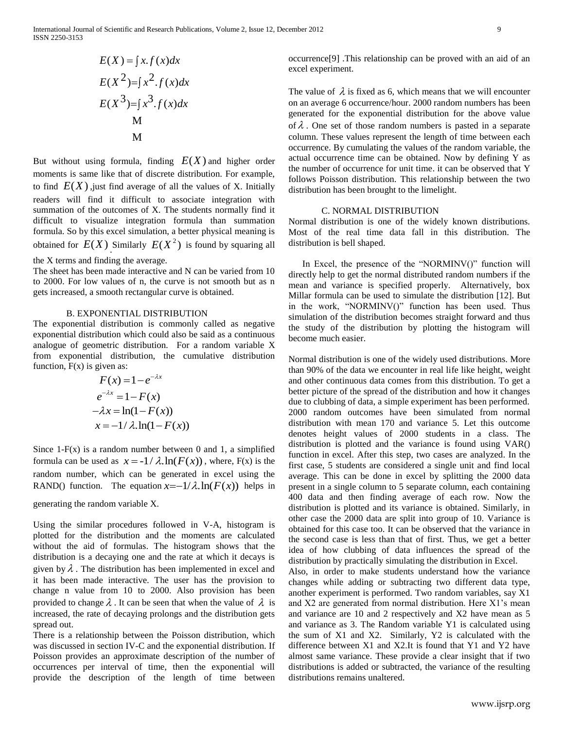International Journal of Scientific and Research Publications, Volume 2, Issue 12, December 2012 9 ISSN 2250-3153

$$
E(X) = \int x \cdot f(x) dx
$$
  
\n
$$
E(X^{2}) = \int x^{2} \cdot f(x) dx
$$
  
\n
$$
E(X^{3}) = \int x^{3} \cdot f(x) dx
$$
  
\nM

But without using formula, finding  $E(X)$  and higher order moments is same like that of discrete distribution. For example, to find  $E(X)$ , just find average of all the values of X. Initially readers will find it difficult to associate integration with summation of the outcomes of X. The students normally find it difficult to visualize integration formula than summation formula. So by this excel simulation, a better physical meaning is obtained for  $E(X)$  Similarly  $E(X^2)$  is found by squaring all

the X terms and finding the average.

The sheet has been made interactive and N can be varied from 10 to 2000. For low values of n, the curve is not smooth but as n gets increased, a smooth rectangular curve is obtained.

## B. EXPONENTIAL DISTRIBUTION

The exponential distribution is commonly called as negative exponential distribution which could also be said as a continuous analogue of geometric distribution. For a random variable X from exponential distribution, the cumulative distribution function,  $F(x)$  is given as:

$$
F(x) = 1 - e^{-\lambda x}
$$
  
\n
$$
e^{-\lambda x} = 1 - F(x)
$$
  
\n
$$
-\lambda x = \ln(1 - F(x))
$$
  
\n
$$
x = -1/\lambda \cdot \ln(1 - F(x))
$$

Since  $1-F(x)$  is a random number between 0 and 1, a simplified formula can be used as  $x = -1/\lambda \ln(F(x))$ , where, F(x) is the random number, which can be generated in excel using the RAND() function. The equation  $x = -1/\lambda \cdot ln(F(x))$  helps in

generating the random variable X.

Using the similar procedures followed in V-A, histogram is plotted for the distribution and the moments are calculated without the aid of formulas. The histogram shows that the distribution is a decaying one and the rate at which it decays is given by  $\lambda$ . The distribution has been implemented in excel and it has been made interactive. The user has the provision to change n value from 10 to 2000. Also provision has been provided to change  $\lambda$ . It can be seen that when the value of  $\lambda$  is increased, the rate of decaying prolongs and the distribution gets spread out.

There is a relationship between the Poisson distribution, which was discussed in section IV-C and the exponential distribution. If Poisson provides an approximate description of the number of occurrences per interval of time, then the exponential will provide the description of the length of time between

occurrence[9] .This relationship can be proved with an aid of an excel experiment.

The value of  $\lambda$  is fixed as 6, which means that we will encounter on an average 6 occurrence/hour. 2000 random numbers has been generated for the exponential distribution for the above value of  $\lambda$ . One set of those random numbers is pasted in a separate column. These values represent the length of time between each occurrence. By cumulating the values of the random variable, the actual occurrence time can be obtained. Now by defining Y as the number of occurrence for unit time. it can be observed that Y follows Poisson distribution. This relationship between the two distribution has been brought to the limelight.

## C. NORMAL DISTRIBUTION

Normal distribution is one of the widely known distributions. Most of the real time data fall in this distribution. The distribution is bell shaped.

 In Excel, the presence of the "NORMINV()" function will directly help to get the normal distributed random numbers if the mean and variance is specified properly. Alternatively, box Millar formula can be used to simulate the distribution [12]. But in the work, "NORMINV()" function has been used. Thus simulation of the distribution becomes straight forward and thus the study of the distribution by plotting the histogram will become much easier.

Normal distribution is one of the widely used distributions. More than 90% of the data we encounter in real life like height, weight and other continuous data comes from this distribution. To get a better picture of the spread of the distribution and how it changes due to clubbing of data, a simple experiment has been performed. 2000 random outcomes have been simulated from normal distribution with mean 170 and variance 5. Let this outcome denotes height values of 2000 students in a class. The distribution is plotted and the variance is found using VAR() function in excel. After this step, two cases are analyzed. In the first case, 5 students are considered a single unit and find local average. This can be done in excel by splitting the 2000 data present in a single column to 5 separate column, each containing 400 data and then finding average of each row. Now the distribution is plotted and its variance is obtained. Similarly, in other case the 2000 data are split into group of 10. Variance is obtained for this case too. It can be observed that the variance in the second case is less than that of first. Thus, we get a better idea of how clubbing of data influences the spread of the distribution by practically simulating the distribution in Excel.

Also, in order to make students understand how the variance changes while adding or subtracting two different data type, another experiment is performed. Two random variables, say X1 and X2 are generated from normal distribution. Here X1's mean and variance are 10 and 2 respectively and X2 have mean as 5 and variance as 3. The Random variable Y1 is calculated using the sum of X1 and X2. Similarly, Y2 is calculated with the difference between X1 and X2.It is found that Y1 and Y2 have almost same variance. These provide a clear insight that if two distributions is added or subtracted, the variance of the resulting distributions remains unaltered.